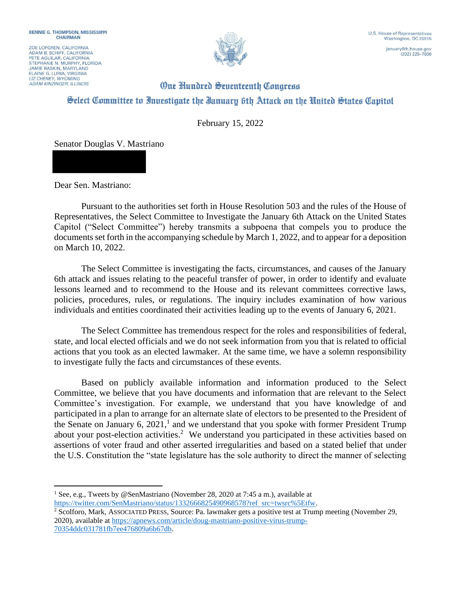ZOE LOFGREN, CALIFORNIA ADAM B. SCHIFF, CALIFORNIA<br>PETE AGUILAR, CALIFORNIA STEPHANIE N. MURPHY, FLORIDA **JAMIE RASKIN, MARYLAND** ELAINE G. LURIA, VIRGINIA **ADAM KINZINGER, ILLINOIS** 



 $(202)$  225-7800

## **One Hundred Seventeenth Congress** Select Committee to Investigate the Ianuary 6th Attack on the United States Capitol

February 15, 2022

Senator Douglas V. Mastriano

Dear Sen. Mastriano:

Pursuant to the authorities set forth in House Resolution 503 and the rules of the House of Representatives, the Select Committee to Investigate the January 6th Attack on the United States Capitol ("Select Committee") hereby transmits a subpoena that compels you to produce the documents set forth in the accompanying schedule by March 1, 2022, and to appear for a deposition on March 10, 2022.

The Select Committee is investigating the facts, circumstances, and causes of the January 6th attack and issues relating to the peaceful transfer of power, in order to identify and evaluate lessons learned and to recommend to the House and its relevant committees corrective laws, policies, procedures, rules, or regulations. The inquiry includes examination of how various individuals and entities coordinated their activities leading up to the events of January 6, 2021.

The Select Committee has tremendous respect for the roles and responsibilities of federal, state, and local elected officials and we do not seek information from you that is related to official actions that you took as an elected lawmaker. At the same time, we have a solemn responsibility to investigate fully the facts and circumstances of these events.

Based on publicly available information and information produced to the Select Committee, we believe that you have documents and information that are relevant to the Select Committee's investigation. For example, we understand that you have knowledge of and participated in a plan to arrange for an alternate slate of electors to be presented to the President of the Senate on January 6,  $2021$ ,<sup>1</sup> and we understand that you spoke with former President Trump about your post-election activities.<sup>2</sup> We understand you participated in these activities based on assertions of voter fraud and other asserted irregularities and based on a stated belief that under the U.S. Constitution the "state legislature has the sole authority to direct the manner of selecting

<sup>1</sup> See, e.g., Tweets by @SenMastriano (November 28, 2020 at 7:45 a m.), available at https://twitter.com/SenMastriano/status/1332666825490968578?ref src=twsrc%5Etfw.

<sup>2</sup> Scolforo, Mark, ASSOCIATED PRESS, Source: Pa. lawmaker gets a positive test at Trump meeting (November 29, 2020), available at https://apnews.com/article/doug-mastriano-positive-virus-trump-70354ddc031781fb7ee476809a6b67db.